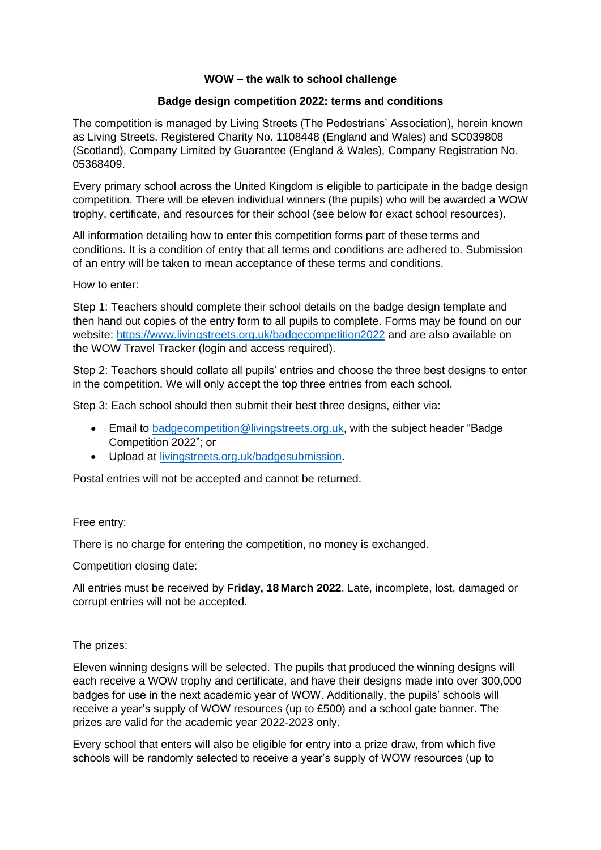# **WOW – the walk to school challenge**

## **Badge design competition 2022: terms and conditions**

The competition is managed by Living Streets (The Pedestrians' Association), herein known as Living Streets. Registered Charity No. 1108448 (England and Wales) and SC039808 (Scotland), Company Limited by Guarantee (England & Wales), Company Registration No. 05368409.

Every primary school across the United Kingdom is eligible to participate in the badge design competition. There will be eleven individual winners (the pupils) who will be awarded a WOW trophy, certificate, and resources for their school (see below for exact school resources).

All information detailing how to enter this competition forms part of these terms and conditions. It is a condition of entry that all terms and conditions are adhered to. Submission of an entry will be taken to mean acceptance of these terms and conditions.

How to enter:

Step 1: Teachers should complete their school details on the badge design template and then hand out copies of the entry form to all pupils to complete. Forms may be found on our website:<https://www.livingstreets.org.uk/badgecompetition2022> and are also available on the WOW Travel Tracker (login and access required).

Step 2: Teachers should collate all pupils' entries and choose the three best designs to enter in the competition. We will only accept the top three entries from each school.

Step 3: Each school should then submit their best three designs, either via:

- Email to [badgecompetition@livingstreets.org.uk,](mailto:badgecompetition@livingstreets.org.uk) with the subject header "Badge Competition 2022"; or
- Upload at [livingstreets.org.uk/badgesubmission.](https://www.livingstreets.org.uk/badgesubmission)

Postal entries will not be accepted and cannot be returned.

# Free entry:

There is no charge for entering the competition, no money is exchanged.

Competition closing date:

All entries must be received by **Friday, 18 March 2022**. Late, incomplete, lost, damaged or corrupt entries will not be accepted.

# The prizes:

Eleven winning designs will be selected. The pupils that produced the winning designs will each receive a WOW trophy and certificate, and have their designs made into over 300,000 badges for use in the next academic year of WOW. Additionally, the pupils' schools will receive a year's supply of WOW resources (up to £500) and a school gate banner. The prizes are valid for the academic year 2022-2023 only.

Every school that enters will also be eligible for entry into a prize draw, from which five schools will be randomly selected to receive a year's supply of WOW resources (up to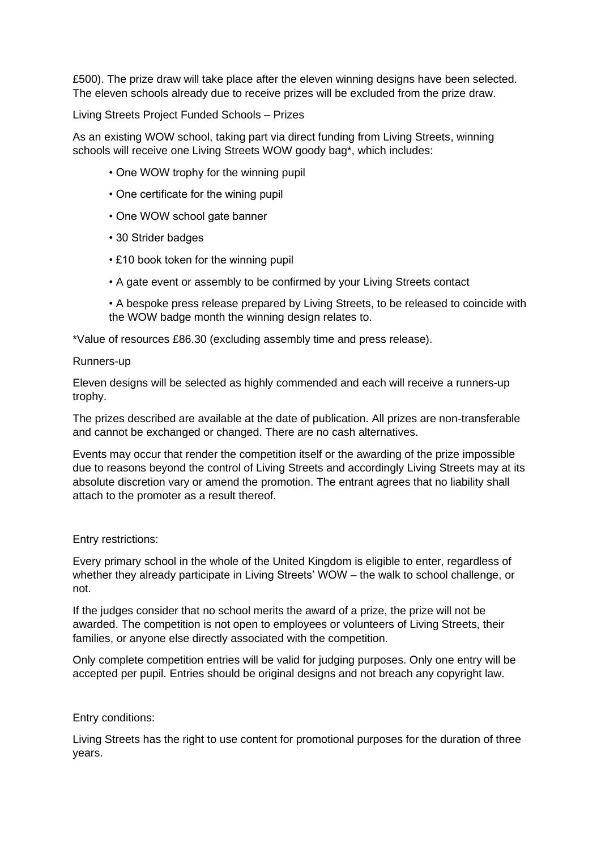£500). The prize draw will take place after the eleven winning designs have been selected. The eleven schools already due to receive prizes will be excluded from the prize draw.

Living Streets Project Funded Schools – Prizes

As an existing WOW school, taking part via direct funding from Living Streets, winning schools will receive one Living Streets WOW goody bag\*, which includes:

- One WOW trophy for the winning pupil
- One certificate for the wining pupil
- One WOW school gate banner
- 30 Strider badges
- £10 book token for the winning pupil
- A gate event or assembly to be confirmed by your Living Streets contact
- A bespoke press release prepared by Living Streets, to be released to coincide with the WOW badge month the winning design relates to.

\*Value of resources £86.30 (excluding assembly time and press release).

### Runners-up

Eleven designs will be selected as highly commended and each will receive a runners-up trophy.

The prizes described are available at the date of publication. All prizes are non-transferable and cannot be exchanged or changed. There are no cash alternatives.

Events may occur that render the competition itself or the awarding of the prize impossible due to reasons beyond the control of Living Streets and accordingly Living Streets may at its absolute discretion vary or amend the promotion. The entrant agrees that no liability shall attach to the promoter as a result thereof.

### Entry restrictions:

Every primary school in the whole of the United Kingdom is eligible to enter, regardless of whether they already participate in Living Streets' WOW – the walk to school challenge, or not.

If the judges consider that no school merits the award of a prize, the prize will not be awarded. The competition is not open to employees or volunteers of Living Streets, their families, or anyone else directly associated with the competition.

Only complete competition entries will be valid for judging purposes. Only one entry will be accepted per pupil. Entries should be original designs and not breach any copyright law.

Entry conditions:

Living Streets has the right to use content for promotional purposes for the duration of three years.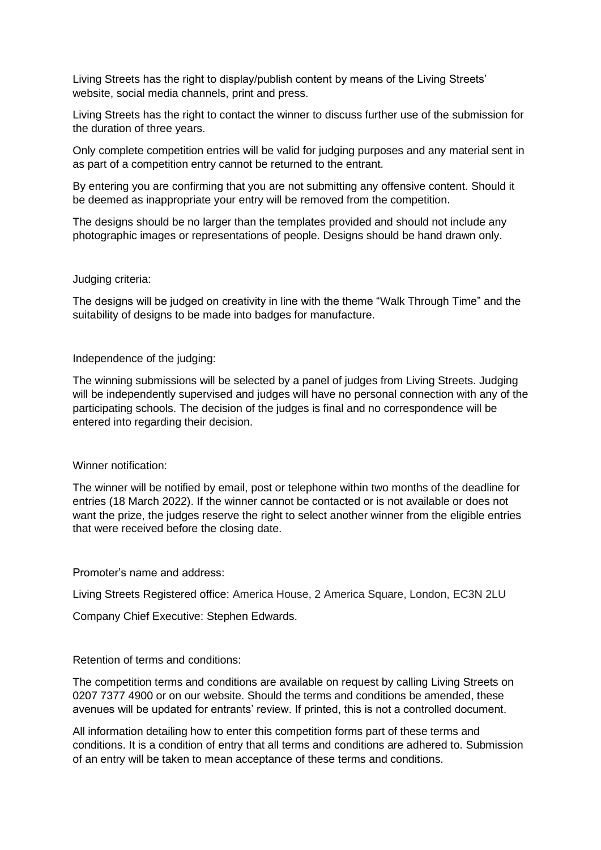Living Streets has the right to display/publish content by means of the Living Streets' website, social media channels, print and press.

Living Streets has the right to contact the winner to discuss further use of the submission for the duration of three years.

Only complete competition entries will be valid for judging purposes and any material sent in as part of a competition entry cannot be returned to the entrant.

By entering you are confirming that you are not submitting any offensive content. Should it be deemed as inappropriate your entry will be removed from the competition.

The designs should be no larger than the templates provided and should not include any photographic images or representations of people. Designs should be hand drawn only.

#### Judging criteria:

The designs will be judged on creativity in line with the theme "Walk Through Time" and the suitability of designs to be made into badges for manufacture.

Independence of the judging:

The winning submissions will be selected by a panel of judges from Living Streets. Judging will be independently supervised and judges will have no personal connection with any of the participating schools. The decision of the judges is final and no correspondence will be entered into regarding their decision.

### Winner notification:

The winner will be notified by email, post or telephone within two months of the deadline for entries (18 March 2022). If the winner cannot be contacted or is not available or does not want the prize, the judges reserve the right to select another winner from the eligible entries that were received before the closing date.

Promoter's name and address:

Living Streets Registered office: America House, 2 America Square, London, EC3N 2LU

Company Chief Executive: Stephen Edwards.

### Retention of terms and conditions:

The competition terms and conditions are available on request by calling Living Streets on 0207 7377 4900 or on our website. Should the terms and conditions be amended, these avenues will be updated for entrants' review. If printed, this is not a controlled document.

All information detailing how to enter this competition forms part of these terms and conditions. It is a condition of entry that all terms and conditions are adhered to. Submission of an entry will be taken to mean acceptance of these terms and conditions.